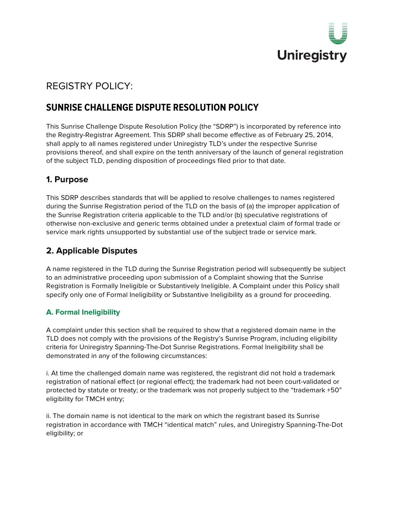

# REGISTRY POLICY:

# **SUNRISE CHALLENGE DISPUTE RESOLUTION POLICY**

This Sunrise Challenge Dispute Resolution Policy (the "SDRP") is incorporated by reference into the Registry-Registrar Agreement. This SDRP shall become effective as of February 25, 2014, shall apply to all names registered under Uniregistry TLD's under the respective Sunrise provisions thereof, and shall expire on the tenth anniversary of the launch of general registration of the subject TLD, pending disposition of proceedings filed prior to that date.

# **1. Purpose**

This SDRP describes standards that will be applied to resolve challenges to names registered during the Sunrise Registration period of the TLD on the basis of (a) the improper application of the Sunrise Registration criteria applicable to the TLD and/or (b) speculative registrations of otherwise non-exclusive and generic terms obtained under a pretextual claim of formal trade or service mark rights unsupported by substantial use of the subject trade or service mark.

# **2. Applicable Disputes**

A name registered in the TLD during the Sunrise Registration period will subsequently be subject to an administrative proceeding upon submission of a Complaint showing that the Sunrise Registration is Formally Ineligible or Substantively Ineligible. A Complaint under this Policy shall specify only one of Formal Ineligibility or Substantive Ineligibility as a ground for proceeding.

## **A. Formal Ineligibility**

A complaint under this section shall be required to show that a registered domain name in the TLD does not comply with the provisions of the Registry's Sunrise Program, including eligibility criteria for Uniregistry Spanning-The-Dot Sunrise Registrations. Formal Ineligibility shall be demonstrated in any of the following circumstances:

i. At time the challenged domain name was registered, the registrant did not hold a trademark registration of national effect (or regional effect); the trademark had not been court-validated or protected by statute or treaty; or the trademark was not properly subject to the "trademark +50" eligibility for TMCH entry;

ii. The domain name is not identical to the mark on which the registrant based its Sunrise registration in accordance with TMCH "identical match" rules, and Uniregistry Spanning-The-Dot eligibility; or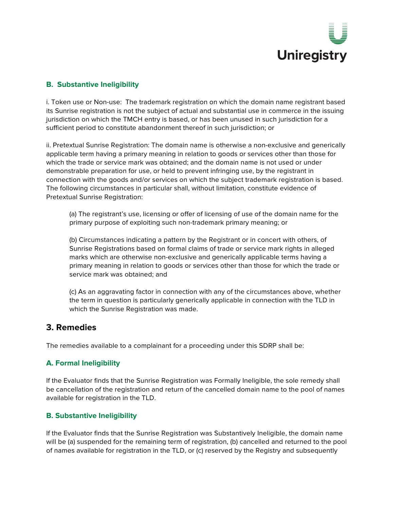

## **B. Substantive Ineligibility**

i. Token use or Non-use: The trademark registration on which the domain name registrant based its Sunrise registration is not the subject of actual and substantial use in commerce in the issuing jurisdiction on which the TMCH entry is based, or has been unused in such jurisdiction for a sufficient period to constitute abandonment thereof in such jurisdiction; or

ii. Pretextual Sunrise Registration: The domain name is otherwise a non-exclusive and generically applicable term having a primary meaning in relation to goods or services other than those for which the trade or service mark was obtained; and the domain name is not used or under demonstrable preparation for use, or held to prevent infringing use, by the registrant in connection with the goods and/or services on which the subject trademark registration is based. The following circumstances in particular shall, without limitation, constitute evidence of Pretextual Sunrise Registration:

(a) The registrant's use, licensing or offer of licensing of use of the domain name for the primary purpose of exploiting such non-trademark primary meaning; or

(b) Circumstances indicating a pattern by the Registrant or in concert with others, of Sunrise Registrations based on formal claims of trade or service mark rights in alleged marks which are otherwise non-exclusive and generically applicable terms having a primary meaning in relation to goods or services other than those for which the trade or service mark was obtained; and

(c) As an aggravating factor in connection with any of the circumstances above, whether the term in question is particularly generically applicable in connection with the TLD in which the Sunrise Registration was made.

## **3. Remedies**

The remedies available to a complainant for a proceeding under this SDRP shall be:

#### **A. Formal Ineligibility**

If the Evaluator finds that the Sunrise Registration was Formally Ineligible, the sole remedy shall be cancellation of the registration and return of the cancelled domain name to the pool of names available for registration in the TLD.

#### **B. Substantive Ineligibility**

If the Evaluator finds that the Sunrise Registration was Substantively Ineligible, the domain name will be (a) suspended for the remaining term of registration, (b) cancelled and returned to the pool of names available for registration in the TLD, or (c) reserved by the Registry and subsequently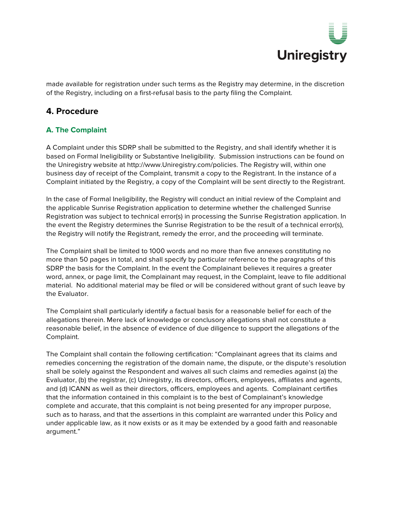

made available for registration under such terms as the Registry may determine, in the discretion of the Registry, including on a first-refusal basis to the party filing the Complaint.

# **4. Procedure**

## **A. The Complaint**

A Complaint under this SDRP shall be submitted to the Registry, and shall identify whether it is based on Formal Ineligibility or Substantive Ineligibility. Submission instructions can be found on the Uniregistry website at http://www.Uniregistry.com/policies. The Registry will, within one business day of receipt of the Complaint, transmit a copy to the Registrant. In the instance of a Complaint initiated by the Registry, a copy of the Complaint will be sent directly to the Registrant.

In the case of Formal Ineligibility, the Registry will conduct an initial review of the Complaint and the applicable Sunrise Registration application to determine whether the challenged Sunrise Registration was subject to technical error(s) in processing the Sunrise Registration application. In the event the Registry determines the Sunrise Registration to be the result of a technical error(s), the Registry will notify the Registrant, remedy the error, and the proceeding will terminate.

The Complaint shall be limited to 1000 words and no more than five annexes constituting no more than 50 pages in total, and shall specify by particular reference to the paragraphs of this SDRP the basis for the Complaint. In the event the Complainant believes it requires a greater word, annex, or page limit, the Complainant may request, in the Complaint, leave to file additional material. No additional material may be filed or will be considered without grant of such leave by the Evaluator.

The Complaint shall particularly identify a factual basis for a reasonable belief for each of the allegations therein. Mere lack of knowledge or conclusory allegations shall not constitute a reasonable belief, in the absence of evidence of due diligence to support the allegations of the Complaint.

The Complaint shall contain the following certification: "Complainant agrees that its claims and remedies concerning the registration of the domain name, the dispute, or the dispute's resolution shall be solely against the Respondent and waives all such claims and remedies against (a) the Evaluator, (b) the registrar, (c) Uniregistry, its directors, officers, employees, affiliates and agents, and (d) ICANN as well as their directors, officers, employees and agents. Complainant certifies that the information contained in this complaint is to the best of Complainant's knowledge complete and accurate, that this complaint is not being presented for any improper purpose, such as to harass, and that the assertions in this complaint are warranted under this Policy and under applicable law, as it now exists or as it may be extended by a good faith and reasonable argument."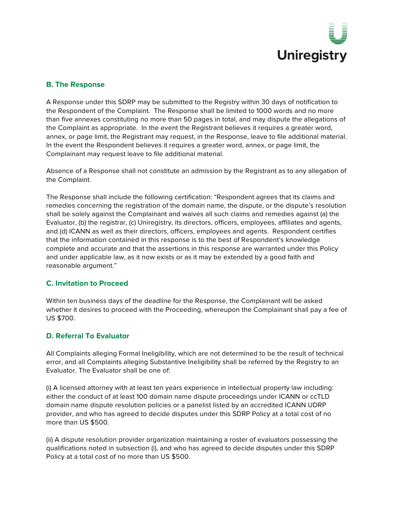

### **B. The Response**

A Response under this SDRP may be submitted to the Registry within 30 days of notification to the Respondent of the Complaint. The Response shall be limited to 1000 words and no more than five annexes constituting no more than 50 pages in total, and may dispute the allegations of the Complaint as appropriate. In the event the Registrant believes it requires a greater word, annex, or page limit, the Registrant may request, in the Response, leave to file additional material. In the event the Respondent believes it requires a greater word, annex, or page limit, the Complainant may request leave to file additional material.

Absence of a Response shall not constitute an admission by the Registrant as to any allegation of the Complaint.

The Response shall include the following certification: "Respondent agrees that its claims and remedies concerning the registration of the domain name, the dispute, or the dispute's resolution shall be solely against the Complainant and waives all such claims and remedies against (a) the Evaluator, (b) the registrar, (c) Uniregistry, its directors, officers, employees, affiliates and agents, and (d) ICANN as well as their directors, officers, employees and agents. Respondent certifies that the information contained in this response is to the best of Respondent's knowledge complete and accurate and that the assertions in this response are warranted under this Policy and under applicable law, as it now exists or as it may be extended by a good faith and reasonable argument."

#### **C. Invitation to Proceed**

Within ten business days of the deadline for the Response, the Complainant will be asked whether it desires to proceed with the Proceeding, whereupon the Complainant shall pay a fee of US \$700.

## **D. Referral To Evaluator**

All Complaints alleging Formal Ineligibility, which are not determined to be the result of technical error, and all Complaints alleging Substantive Ineligibility shall be referred by the Registry to an Evaluator. The Evaluator shall be one of:

(i) A licensed attorney with at least ten years experience in intellectual property law including: either the conduct of at least 100 domain name dispute proceedings under ICANN or ccTLD domain name dispute resolution policies or a panelist listed by an accredited ICANN UDRP provider, and who has agreed to decide disputes under this SDRP Policy at a total cost of no more than US \$500.

(ii) A dispute resolution provider organization maintaining a roster of evaluators possessing the qualifications noted in subsection (i), and who has agreed to decide disputes under this SDRP Policy at a total cost of no more than US \$500.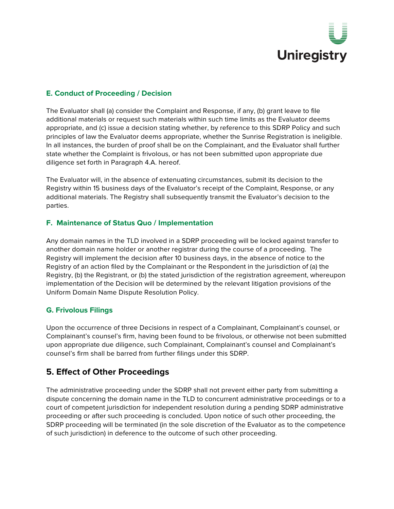

### **E. Conduct of Proceeding / Decision**

The Evaluator shall (a) consider the Complaint and Response, if any, (b) grant leave to file additional materials or request such materials within such time limits as the Evaluator deems appropriate, and (c) issue a decision stating whether, by reference to this SDRP Policy and such principles of law the Evaluator deems appropriate, whether the Sunrise Registration is ineligible. In all instances, the burden of proof shall be on the Complainant, and the Evaluator shall further state whether the Complaint is frivolous, or has not been submitted upon appropriate due diligence set forth in Paragraph 4.A. hereof.

The Evaluator will, in the absence of extenuating circumstances, submit its decision to the Registry within 15 business days of the Evaluator's receipt of the Complaint, Response, or any additional materials. The Registry shall subsequently transmit the Evaluator's decision to the parties.

### **F. Maintenance of Status Quo / Implementation**

Any domain names in the TLD involved in a SDRP proceeding will be locked against transfer to another domain name holder or another registrar during the course of a proceeding. The Registry will implement the decision after 10 business days, in the absence of notice to the Registry of an action filed by the Complainant or the Respondent in the jurisdiction of (a) the Registry, (b) the Registrant, or (b) the stated jurisdiction of the registration agreement, whereupon implementation of the Decision will be determined by the relevant litigation provisions of the Uniform Domain Name Dispute Resolution Policy.

#### **G. Frivolous Filings**

Upon the occurrence of three Decisions in respect of a Complainant, Complainant's counsel, or Complainant's counsel's firm, having been found to be frivolous, or otherwise not been submitted upon appropriate due diligence, such Complainant, Complainant's counsel and Complainant's counsel's firm shall be barred from further filings under this SDRP.

# **5. Effect of Other Proceedings**

The administrative proceeding under the SDRP shall not prevent either party from submitting a dispute concerning the domain name in the TLD to concurrent administrative proceedings or to a court of competent jurisdiction for independent resolution during a pending SDRP administrative proceeding or after such proceeding is concluded. Upon notice of such other proceeding, the SDRP proceeding will be terminated (in the sole discretion of the Evaluator as to the competence of such jurisdiction) in deference to the outcome of such other proceeding.